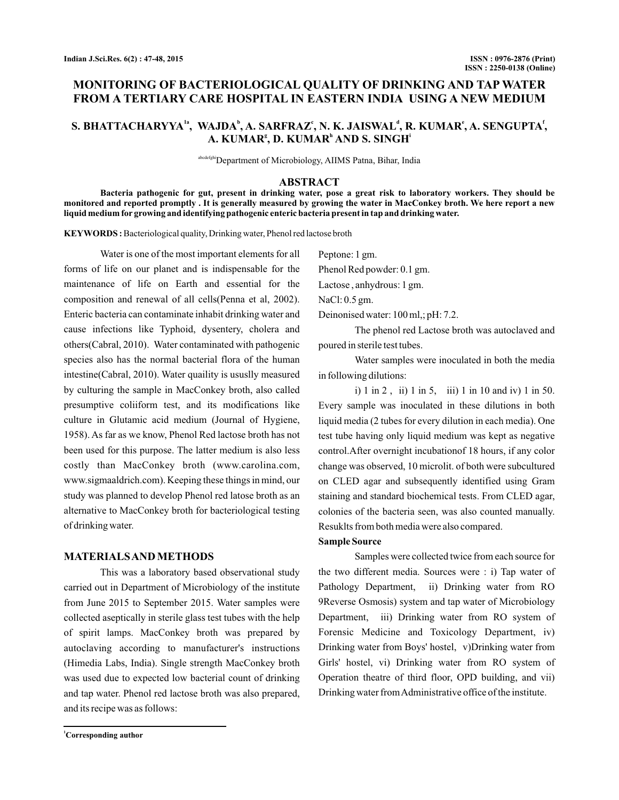# **MONITORING OF BACTERIOLOGICAL QUALITY OF DRINKING AND TAP WATER FROM A TERTIARY CARE HOSPITAL IN EASTERN INDIA USING A NEW MEDIUM**

# S. BHATTACHARYYA<sup>1a</sup>, WAJDA<sup>b</sup>, A. SARFRAZ', N. K. JAISWAL<sup>4</sup>, R. KUMAR', A. SENGUPTA<sup>t</sup>,  $\mathbf{A.}\text{ KUMAR}^{\text{g}}, \mathbf{D.}\text{ KUMAR}^{\text{h}} \text{ AND S. SINGH}^{\text{i}}$

abcdefghiDepartment of Microbiology, AIIMS Patna, Bihar, India

#### **ABSTRACT**

**Bacteria pathogenic for gut, present in drinking water, pose a great risk to laboratory workers. They should be monitored and reported promptly . It is generally measured by growing the water in MacConkey broth. We here report a new liquid medium for growing and identifying pathogenic enteric bacteria present in tap and drinking water.**

KEYWORDS: Bacteriological quality, Drinking water, Phenol red lactose broth

Water is one of the most important elements for all forms of life on our planet and is indispensable for the maintenance of life on Earth and essential for the composition and renewal of all cells(Penna et al, 2002). Enteric bacteria can contaminate inhabit drinking water and cause infections like Typhoid, dysentery, cholera and others(Cabral, 2010). Water contaminated with pathogenic species also has the normal bacterial flora of the human intestine(Cabral, 2010). Water quaility is ususlly measured by culturing the sample in MacConkey broth, also called presumptive coliiform test, and its modifications like culture in Glutamic acid medium (Journal of Hygiene, 1958). As far as we know, Phenol Red lactose broth has not been used for this purpose. The latter medium is also less costly than MacConkey broth (www.carolina.com, www.sigmaaldrich.com). Keeping these things in mind, our study was planned to develop Phenol red latose broth as an alternative to MacConkey broth for bacteriological testing of drinking water.

### **MATERIALSAND METHODS**

This was a laboratory based observational study carried out in Department of Microbiology of the institute from June 2015 to September 2015. Water samples were collected aseptically in sterile glass test tubes with the help of spirit lamps. MacConkey broth was prepared by autoclaving according to manufacturer's instructions (Himedia Labs, India). Single strength MacConkey broth was used due to expected low bacterial count of drinking and tap water. Phenol red lactose broth was also prepared, and its recipe was as follows:

Peptone: 1 gm.

Phenol Red powder: 0.1 gm.

Lactose , anhydrous: 1 gm.

NaCl: 0.5 gm.

Deinonised water: 100 ml,; pH: 7.2.

The phenol red Lactose broth was autoclaved and poured in sterile test tubes.

Water samples were inoculated in both the media in following dilutions:

i) 1 in 2 , ii) 1 in 5, iii) 1 in 10 and iv) 1 in 50. Every sample was inoculated in these dilutions in both liquid media (2 tubes for every dilution in each media). One test tube having only liquid medium was kept as negative control.After overnight incubationof 18 hours, if any color change was observed, 10 microlit. of both were subcultured on CLED agar and subsequently identified using Gram staining and standard biochemical tests. From CLED agar, colonies of the bacteria seen, was also counted manually. Resuklts from both media were also compared.

#### **Sample Source**

Samples were collected twice from each source for the two different media. Sources were : i) Tap water of Pathology Department, ii) Drinking water from RO 9Reverse Osmosis) system and tap water of Microbiology Department, iii) Drinking water from RO system of Forensic Medicine and Toxicology Department, iv) Drinking water from Boys' hostel, v)Drinking water from Girls' hostel, vi) Drinking water from RO system of Operation theatre of third floor, OPD building, and vii) Drinking water fromAdministrative office of the institute.